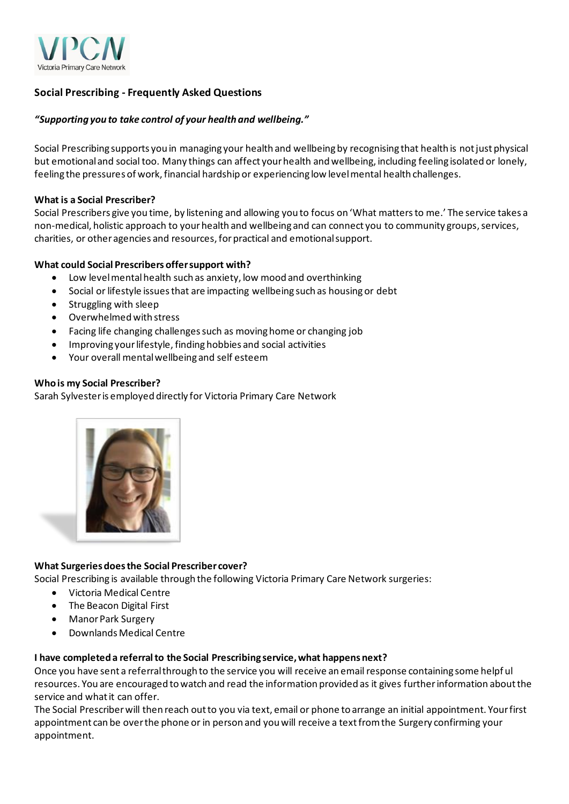

# **Social Prescribing - Frequently Asked Questions**

# *"Supporting you to take control of your health and wellbeing."*

Social Prescribing supports you in managing your health and wellbeing by recognising that health is not just physical but emotional and social too. Many things can affect your health and wellbeing, including feeling isolated or lonely, feeling the pressures of work, financial hardship or experiencing low level mental health challenges.

### **What is a Social Prescriber?**

Social Prescribers give you time, by listening and allowing you to focus on 'What mattersto me.' The service takes a non-medical, holistic approach to your health and wellbeing and can connect you to community groups, services, charities, or other agencies and resources,for practical and emotional support.

# **What could Social Prescribers offer support with?**

- Low level mental health such as anxiety, low mood and overthinking
- Social or lifestyle issues that are impacting wellbeing such as housing or debt
- Struggling with sleep
- Overwhelmed with stress
- Facing life changing challenges such as moving home or changing job
- Improving your lifestyle, finding hobbies and social activities
- Your overall mental wellbeing and self esteem

### **Who is my Social Prescriber?**

Sarah Sylvester is employed directly for Victoria Primary Care Network



# **What Surgeries does the Social Prescriber cover?**

Social Prescribing is available through the following Victoria Primary Care Network surgeries:

- Victoria Medical Centre
- The Beacon Digital First
- Manor Park Surgery
- Downlands Medical Centre

#### **I have completed a referral to the Social Prescribing service, what happens next?**

Once you have sent a referral through to the service you will receive an email response containing some helpf ul resources. You are encouraged to watch and read the information provided as it gives further information about the service and what it can offer.

The Social Prescriber will then reach out to you via text, email or phone to arrange an initial appointment. Your first appointment can be over the phone or in person and you will receive a text from the Surgery confirming your appointment.